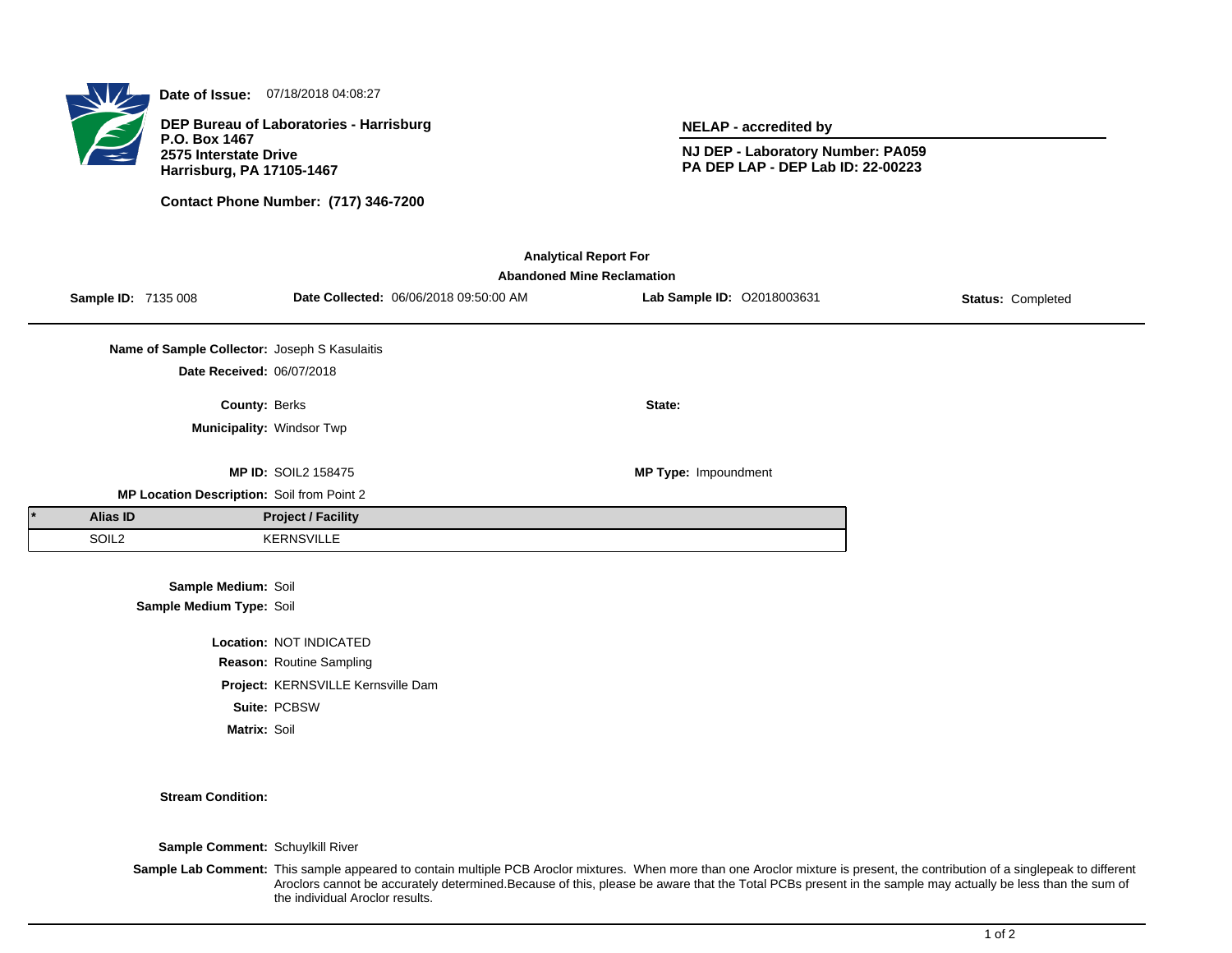

**Date of Issue:** 07/18/2018 04:08:27

**DEP Bureau of Laboratories - Harrisburg P.O. Box 1467 2575 Interstate Drive Harrisburg, PA 17105-1467**

**Contact Phone Number: (717) 346-7200**

**NELAP - accredited by**

**NJ DEP - Laboratory Number: PA059 PA DEP LAP - DEP Lab ID: 22-00223**

| <b>Analytical Report For</b><br><b>Abandoned Mine Reclamation</b> |                     |                                               |                            |                                        |                            |                   |  |  |  |
|-------------------------------------------------------------------|---------------------|-----------------------------------------------|----------------------------|----------------------------------------|----------------------------|-------------------|--|--|--|
|                                                                   | Sample ID: 7135 008 |                                               |                            | Date Collected: 06/06/2018 09:50:00 AM | Lab Sample ID: 02018003631 | Status: Completed |  |  |  |
|                                                                   |                     | Name of Sample Collector: Joseph S Kasulaitis |                            |                                        |                            |                   |  |  |  |
|                                                                   |                     | Date Received: 06/07/2018                     |                            |                                        |                            |                   |  |  |  |
|                                                                   |                     | County: Berks                                 |                            |                                        | State:                     |                   |  |  |  |
|                                                                   |                     |                                               | Municipality: Windsor Twp  |                                        |                            |                   |  |  |  |
|                                                                   |                     |                                               | <b>MP ID: SOIL2 158475</b> |                                        | MP Type: Impoundment       |                   |  |  |  |
|                                                                   |                     | MP Location Description: Soil from Point 2    |                            |                                        |                            |                   |  |  |  |
|                                                                   | Alias ID            |                                               | <b>Project / Facility</b>  |                                        |                            |                   |  |  |  |
|                                                                   | SOIL <sub>2</sub>   |                                               | <b>KERNSVILLE</b>          |                                        |                            |                   |  |  |  |
|                                                                   |                     | Sample Medium: Soil                           |                            |                                        |                            |                   |  |  |  |
|                                                                   |                     | Sample Medium Type: Soil                      |                            |                                        |                            |                   |  |  |  |
|                                                                   |                     |                                               | Location: NOT INDICATED    |                                        |                            |                   |  |  |  |
|                                                                   |                     |                                               | Reason: Routine Sampling   |                                        |                            |                   |  |  |  |
|                                                                   |                     |                                               |                            |                                        |                            |                   |  |  |  |

**Project:** KERNSVILLE Kernsville Dam **Suite:** PCBSW

**Matrix:** Soil

**Stream Condition:**

**Sample Comment:** Schuylkill River

Sample Lab Comment: This sample appeared to contain multiple PCB Aroclor mixtures. When more than one Aroclor mixture is present, the contribution of a singlepeak to different Aroclors cannot be accurately determined.Because of this, please be aware that the Total PCBs present in the sample may actually be less than the sum of the individual Aroclor results.